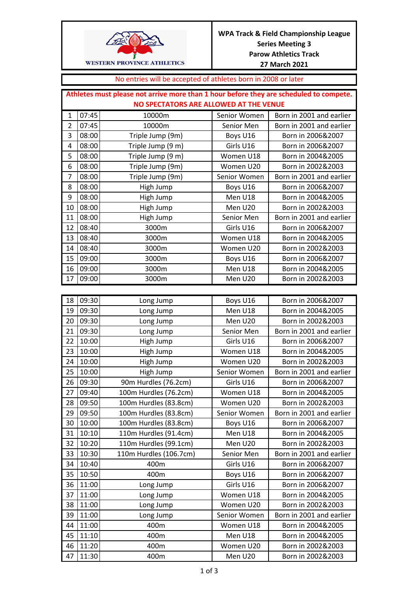

## No entries will be accepted of athletes born in 2008 or later

|    | Athletes must please not arrive more than 1 hour before they are scheduled to compete. |                   |              |                          |  |
|----|----------------------------------------------------------------------------------------|-------------------|--------------|--------------------------|--|
|    | NO SPECTATORS ARE ALLOWED AT THE VENUE                                                 |                   |              |                          |  |
| 1  | 07:45                                                                                  | 10000m            | Senior Women | Born in 2001 and earlier |  |
| 2  | 07:45                                                                                  | 10000m            | Senior Men   | Born in 2001 and earlier |  |
| 3  | 08:00                                                                                  | Triple Jump (9m)  | Boys U16     | Born in 2006&2007        |  |
| 4  | 08:00                                                                                  | Triple Jump (9 m) | Girls U16    | Born in 2006&2007        |  |
| 5  | 08:00                                                                                  | Triple Jump (9 m) | Women U18    | Born in 2004&2005        |  |
| 6  | 08:00                                                                                  | Triple Jump (9m)  | Women U20    | Born in 2002&2003        |  |
| 7  | 08:00                                                                                  | Triple Jump (9m)  | Senior Women | Born in 2001 and earlier |  |
| 8  | 08:00                                                                                  | High Jump         | Boys U16     | Born in 2006&2007        |  |
| 9  | 08:00                                                                                  | High Jump         | Men U18      | Born in 2004&2005        |  |
| 10 | 08:00                                                                                  | High Jump         | Men U20      | Born in 2002&2003        |  |
| 11 | 08:00                                                                                  | High Jump         | Senior Men   | Born in 2001 and earlier |  |
| 12 | 08:40                                                                                  | 3000m             | Girls U16    | Born in 2006&2007        |  |
| 13 | 08:40                                                                                  | 3000m             | Women U18    | Born in 2004&2005        |  |
| 14 | 08:40                                                                                  | 3000m             | Women U20    | Born in 2002&2003        |  |
| 15 | 09:00                                                                                  | 3000m             | Boys U16     | Born in 2006&2007        |  |
| 16 | 09:00                                                                                  | 3000m             | Men U18      | Born in 2004&2005        |  |
| 17 | 09:00                                                                                  | 3000m             | Men U20      | Born in 2002&2003        |  |

| 18 | 09:30 | Long Jump              | Boys U16     | Born in 2006&2007        |
|----|-------|------------------------|--------------|--------------------------|
| 19 | 09:30 | Long Jump              | Men U18      | Born in 2004&2005        |
| 20 | 09:30 | Long Jump              | Men U20      | Born in 2002&2003        |
| 21 | 09:30 | Long Jump              | Senior Men   | Born in 2001 and earlier |
| 22 | 10:00 | High Jump              | Girls U16    | Born in 2006&2007        |
| 23 | 10:00 | High Jump              | Women U18    | Born in 2004&2005        |
| 24 | 10:00 | High Jump              | Women U20    | Born in 2002&2003        |
| 25 | 10:00 | High Jump              | Senior Women | Born in 2001 and earlier |
| 26 | 09:30 | 90m Hurdles (76.2cm)   | Girls U16    | Born in 2006&2007        |
| 27 | 09:40 | 100m Hurdles (76.2cm)  | Women U18    | Born in 2004&2005        |
| 28 | 09:50 | 100m Hurdles (83.8cm)  | Women U20    | Born in 2002&2003        |
| 29 | 09:50 | 100m Hurdles (83.8cm)  | Senior Women | Born in 2001 and earlier |
| 30 | 10:00 | 100m Hurdles (83.8cm)  | Boys U16     | Born in 2006&2007        |
| 31 | 10:10 | 110m Hurdles (91.4cm)  | Men U18      | Born in 2004&2005        |
| 32 | 10:20 | 110m Hurdles (99.1cm)  | Men U20      | Born in 2002&2003        |
| 33 | 10:30 | 110m Hurdles (106.7cm) | Senior Men   | Born in 2001 and earlier |
| 34 | 10:40 | 400m                   | Girls U16    | Born in 2006&2007        |
| 35 | 10:50 | 400m                   | Boys U16     | Born in 2006&2007        |
| 36 | 11:00 | Long Jump              | Girls U16    | Born in 2006&2007        |
| 37 | 11:00 | Long Jump              | Women U18    | Born in 2004&2005        |
| 38 | 11:00 | Long Jump              | Women U20    | Born in 2002&2003        |
| 39 | 11:00 | Long Jump              | Senior Women | Born in 2001 and earlier |
| 44 | 11:00 | 400m                   | Women U18    | Born in 2004&2005        |
| 45 | 11:10 | 400m                   | Men U18      | Born in 2004&2005        |
| 46 | 11:20 | 400m                   | Women U20    | Born in 2002&2003        |
| 47 | 11:30 | 400m                   | Men U20      | Born in 2002&2003        |
|    |       |                        |              |                          |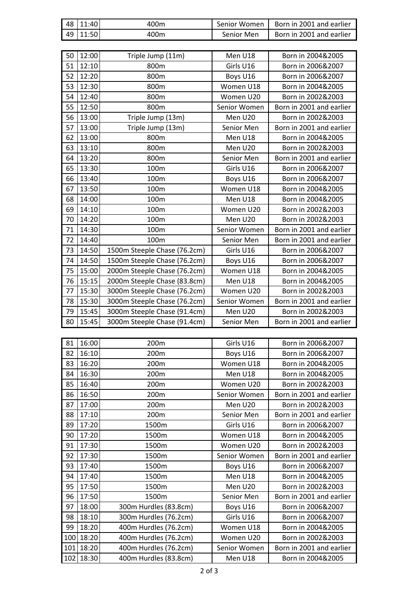| 48 | 11:40 | 400m                         | Senior Women | Born in 2001 and earlier |
|----|-------|------------------------------|--------------|--------------------------|
| 49 | 11:50 | 400m                         | Senior Men   | Born in 2001 and earlier |
|    |       |                              |              |                          |
| 50 | 12:00 | Triple Jump (11m)            | Men U18      | Born in 2004&2005        |
| 51 | 12:10 | 800m                         | Girls U16    | Born in 2006&2007        |
| 52 | 12:20 | 800m                         | Boys U16     | Born in 2006&2007        |
| 53 | 12:30 | 800m                         | Women U18    | Born in 2004&2005        |
| 54 | 12:40 | 800m                         | Women U20    | Born in 2002&2003        |
| 55 | 12:50 | 800m                         | Senior Women | Born in 2001 and earlier |
| 56 | 13:00 | Triple Jump (13m)            | Men U20      | Born in 2002&2003        |
| 57 | 13:00 | Triple Jump (13m)            | Senior Men   | Born in 2001 and earlier |
| 62 | 13:00 | 800m                         | Men U18      | Born in 2004&2005        |
| 63 | 13:10 | 800m                         | Men U20      | Born in 2002&2003        |
| 64 | 13:20 | 800m                         | Senior Men   | Born in 2001 and earlier |
| 65 | 13:30 | 100m                         | Girls U16    | Born in 2006&2007        |
| 66 | 13:40 | 100m                         | Boys U16     | Born in 2006&2007        |
| 67 | 13:50 | 100m                         | Women U18    | Born in 2004&2005        |
| 68 | 14:00 | 100m                         | Men U18      | Born in 2004&2005        |
| 69 | 14:10 | 100m                         | Women U20    | Born in 2002&2003        |
| 70 | 14:20 | 100m                         | Men U20      | Born in 2002&2003        |
| 71 | 14:30 | 100m                         | Senior Women | Born in 2001 and earlier |
| 72 | 14:40 | 100m                         | Senior Men   | Born in 2001 and earlier |
| 73 | 14:50 | 1500m Steeple Chase (76.2cm) | Girls U16    | Born in 2006&2007        |
| 74 | 14:50 | 1500m Steeple Chase (76.2cm) | Boys U16     | Born in 2006&2007        |
| 75 | 15:00 | 2000m Steeple Chase (76.2cm) | Women U18    | Born in 2004&2005        |
| 76 | 15:15 | 2000m Steeple Chase (83.8cm) | Men U18      | Born in 2004&2005        |
| 77 | 15:30 | 3000m Steeple Chase (76.2cm) | Women U20    | Born in 2002&2003        |
| 78 | 15:30 | 3000m Steeple Chase (76.2cm) | Senior Women | Born in 2001 and earlier |
| 79 | 15:45 | 3000m Steeple Chase (91.4cm) | Men U20      | Born in 2002&2003        |
| 80 | 15:45 | 3000m Steeple Chase (91.4cm) | Senior Men   | Born in 2001 and earlier |

| 81  | 16:00 | 200m                  | Girls U16    | Born in 2006&2007        |
|-----|-------|-----------------------|--------------|--------------------------|
| 82  | 16:10 | 200m                  | Boys U16     | Born in 2006&2007        |
| 83  | 16:20 | 200m                  | Women U18    | Born in 2004&2005        |
| 84  | 16:30 | 200m                  | Men U18      | Born in 2004&2005        |
| 85  | 16:40 | 200m                  | Women U20    | Born in 2002&2003        |
| 86  | 16:50 | 200m                  | Senior Women | Born in 2001 and earlier |
| 87  | 17:00 | 200m                  | Men U20      | Born in 2002&2003        |
| 88  | 17:10 | 200m                  | Senior Men   | Born in 2001 and earlier |
| 89  | 17:20 | 1500m                 | Girls U16    | Born in 2006&2007        |
| 90  | 17:20 | 1500m                 | Women U18    | Born in 2004&2005        |
| 91  | 17:30 | 1500m                 | Women U20    | Born in 2002&2003        |
| 92  | 17:30 | 1500m                 | Senior Women | Born in 2001 and earlier |
| 93  | 17:40 | 1500m                 | Boys U16     | Born in 2006&2007        |
| 94  | 17:40 | 1500m                 | Men U18      | Born in 2004&2005        |
| 95  | 17:50 | 1500m                 | Men U20      | Born in 2002&2003        |
| 96  | 17:50 | 1500m                 | Senior Men   | Born in 2001 and earlier |
| 97  | 18:00 | 300m Hurdles (83.8cm) | Boys U16     | Born in 2006&2007        |
| 98  | 18:10 | 300m Hurdles (76.2cm) | Girls U16    | Born in 2006&2007        |
| 99  | 18:20 | 400m Hurdles (76.2cm) | Women U18    | Born in 2004&2005        |
| 100 | 18:20 | 400m Hurdles (76.2cm) | Women U20    | Born in 2002&2003        |
| 101 | 18:20 | 400m Hurdles (76.2cm) | Senior Women | Born in 2001 and earlier |
| 102 | 18:30 | 400m Hurdles (83.8cm) | Men U18      | Born in 2004&2005        |